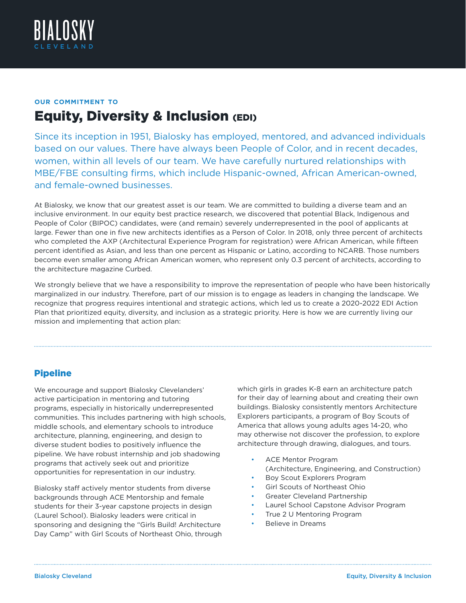

# **our commitment to** Equity, Diversity & Inclusion (EDI)

Since its inception in 1951, Bialosky has employed, mentored, and advanced individuals based on our values. There have always been People of Color, and in recent decades, women, within all levels of our team. We have carefully nurtured relationships with MBE/FBE consulting firms, which include Hispanic-owned, African American-owned, and female-owned businesses.

At Bialosky, we know that our greatest asset is our team. We are committed to building a diverse team and an inclusive environment. In our equity best practice research, we discovered that potential Black, Indigenous and People of Color (BIPOC) candidates, were (and remain) severely underrepresented in the pool of applicants at large. Fewer than one in five new architects identifies as a Person of Color. In 2018, only three percent of architects who completed the AXP (Architectural Experience Program for registration) were African American, while fifteen percent identified as Asian, and less than one percent as Hispanic or Latino, according to NCARB. Those numbers become even smaller among African American women, who represent only 0.3 percent of architects, according to the architecture magazine Curbed.

We strongly believe that we have a responsibility to improve the representation of people who have been historically marginalized in our industry. Therefore, part of our mission is to engage as leaders in changing the landscape. We recognize that progress requires intentional and strategic actions, which led us to create a 2020-2022 EDI Action Plan that prioritized equity, diversity, and inclusion as a strategic priority. Here is how we are currently living our mission and implementing that action plan:

# Pipeline

We encourage and support Bialosky Clevelanders' active participation in mentoring and tutoring programs, especially in historically underrepresented communities. This includes partnering with high schools, middle schools, and elementary schools to introduce architecture, planning, engineering, and design to diverse student bodies to positively influence the pipeline. We have robust internship and job shadowing programs that actively seek out and prioritize opportunities for representation in our industry.

Bialosky staff actively mentor students from diverse backgrounds through ACE Mentorship and female students for their 3-year capstone projects in design (Laurel School). Bialosky leaders were critical in sponsoring and designing the "Girls Build! Architecture Day Camp" with Girl Scouts of Northeast Ohio, through which girls in grades K-8 earn an architecture patch for their day of learning about and creating their own buildings. Bialosky consistently mentors Architecture Explorers participants, a program of Boy Scouts of America that allows young adults ages 14-20, who may otherwise not discover the profession, to explore architecture through drawing, dialogues, and tours.

- ACE Mentor Program (Architecture, Engineering, and Construction)
- Boy Scout Explorers Program
- Girl Scouts of Northeast Ohio
- Greater Cleveland Partnership
- Laurel School Capstone Advisor Program
- True 2 U Mentoring Program
- Believe in Dreams